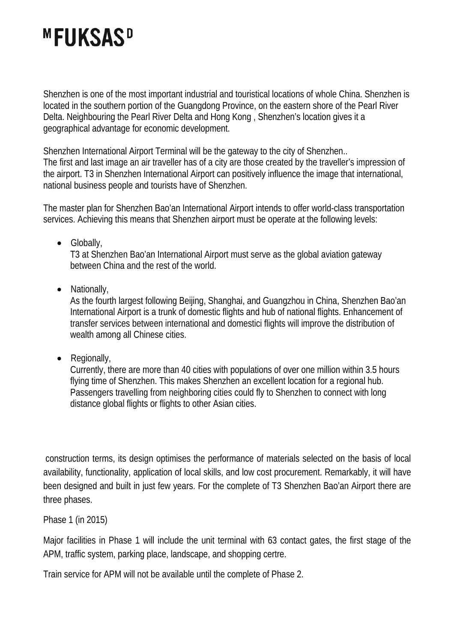# **MFUKSASD**

Shenzhen is one of the most important industrial and touristical locations of whole China. Shenzhen is located in the southern portion of the Guangdong Province, on the eastern shore of the Pearl River Delta. Neighbouring the Pearl River Delta and Hong Kong , Shenzhen's location gives it a geographical advantage for economic development.

Shenzhen International Airport Terminal will be the gateway to the city of Shenzhen.. The first and last image an air traveller has of a city are those created by the traveller's impression of the airport. T3 in Shenzhen International Airport can positively influence the image that international, national business people and tourists have of Shenzhen.

The master plan for Shenzhen Bao'an International Airport intends to offer world-class transportation services. Achieving this means that Shenzhen airport must be operate at the following levels:

• Globally,

T3 at Shenzhen Bao'an International Airport must serve as the global aviation gateway between China and the rest of the world.

• Nationally,

As the fourth largest following Beijing, Shanghai, and Guangzhou in China, Shenzhen Bao'an International Airport is a trunk of domestic flights and hub of national flights. Enhancement of transfer services between international and domestici flights will improve the distribution of wealth among all Chinese cities.

• Regionally,

Currently, there are more than 40 cities with populations of over one million within 3.5 hours flying time of Shenzhen. This makes Shenzhen an excellent location for a regional hub. Passengers travelling from neighboring cities could fly to Shenzhen to connect with long distance global flights or flights to other Asian cities.

 construction terms, its design optimises the performance of materials selected on the basis of local availability, functionality, application of local skills, and low cost procurement. Remarkably, it will have been designed and built in just few years. For the complete of T3 Shenzhen Bao'an Airport there are three phases.

Phase 1 (in 2015)

Major facilities in Phase 1 will include the unit terminal with 63 contact gates, the first stage of the APM, traffic system, parking place, landscape, and shopping certre.

Train service for APM will not be available until the complete of Phase 2.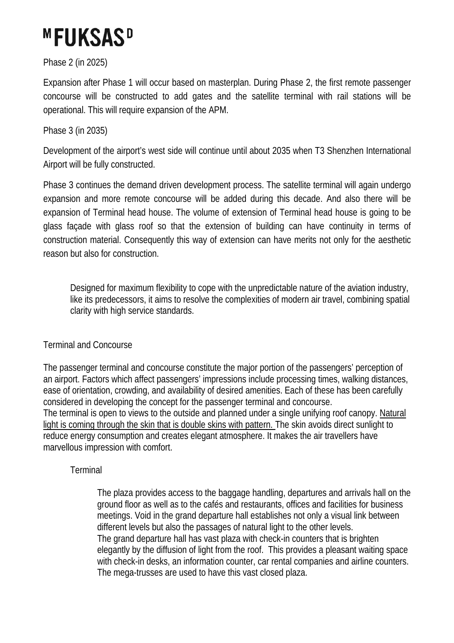# **MFUKSASD**

### Phase 2 (in 2025)

Expansion after Phase 1 will occur based on masterplan. During Phase 2, the first remote passenger concourse will be constructed to add gates and the satellite terminal with rail stations will be operational. This will require expansion of the APM.

### Phase 3 (in 2035)

Development of the airport's west side will continue until about 2035 when T3 Shenzhen International Airport will be fully constructed.

Phase 3 continues the demand driven development process. The satellite terminal will again undergo expansion and more remote concourse will be added during this decade. And also there will be expansion of Terminal head house. The volume of extension of Terminal head house is going to be glass façade with glass roof so that the extension of building can have continuity in terms of construction material. Consequently this way of extension can have merits not only for the aesthetic reason but also for construction.

Designed for maximum flexibility to cope with the unpredictable nature of the aviation industry, like its predecessors, it aims to resolve the complexities of modern air travel, combining spatial clarity with high service standards.

#### Terminal and Concourse

The passenger terminal and concourse constitute the major portion of the passengers' perception of an airport. Factors which affect passengers' impressions include processing times, walking distances, ease of orientation, crowding, and availability of desired amenities. Each of these has been carefully considered in developing the concept for the passenger terminal and concourse. The terminal is open to views to the outside and planned under a single unifying roof canopy. Natural light is coming through the skin that is double skins with pattern. The skin avoids direct sunlight to reduce energy consumption and creates elegant atmosphere. It makes the air travellers have marvellous impression with comfort.

#### **Terminal**

The plaza provides access to the baggage handling, departures and arrivals hall on the ground floor as well as to the cafés and restaurants, offices and facilities for business meetings. Void in the grand departure hall establishes not only a visual link between different levels but also the passages of natural light to the other levels. The grand departure hall has vast plaza with check-in counters that is brighten elegantly by the diffusion of light from the roof. This provides a pleasant waiting space with check-in desks, an information counter, car rental companies and airline counters. The mega-trusses are used to have this vast closed plaza.